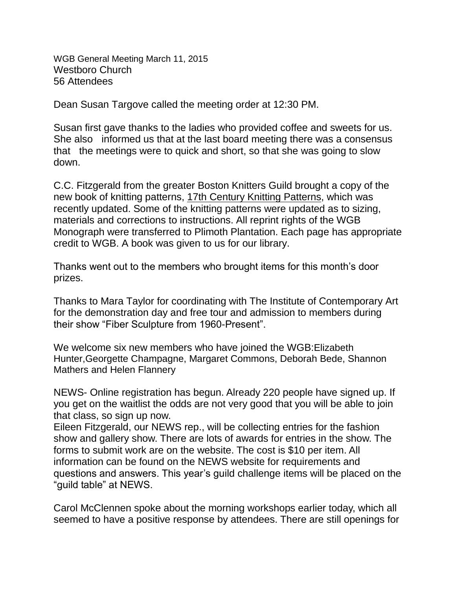WGB General Meeting March 11, 2015 Westboro Church 56 Attendees

Dean Susan Targove called the meeting order at 12:30 PM.

Susan first gave thanks to the ladies who provided coffee and sweets for us. She also informed us that at the last board meeting there was a consensus that the meetings were to quick and short, so that she was going to slow down.

C.C. Fitzgerald from the greater Boston Knitters Guild brought a copy of the new book of knitting patterns, 17th Century Knitting Patterns, which was recently updated. Some of the knitting patterns were updated as to sizing, materials and corrections to instructions. All reprint rights of the WGB Monograph were transferred to Plimoth Plantation. Each page has appropriate credit to WGB. A book was given to us for our library.

Thanks went out to the members who brought items for this month's door prizes.

Thanks to Mara Taylor for coordinating with The Institute of Contemporary Art for the demonstration day and free tour and admission to members during their show "Fiber Sculpture from 1960-Present".

We welcome six new members who have joined the WGB:Elizabeth Hunter,Georgette Champagne, Margaret Commons, Deborah Bede, Shannon Mathers and Helen Flannery

NEWS- Online registration has begun. Already 220 people have signed up. If you get on the waitlist the odds are not very good that you will be able to join that class, so sign up now.

Eileen Fitzgerald, our NEWS rep., will be collecting entries for the fashion show and gallery show. There are lots of awards for entries in the show. The forms to submit work are on the website. The cost is \$10 per item. All information can be found on the NEWS website for requirements and questions and answers. This year's guild challenge items will be placed on the "guild table" at NEWS.

Carol McClennen spoke about the morning workshops earlier today, which all seemed to have a positive response by attendees. There are still openings for